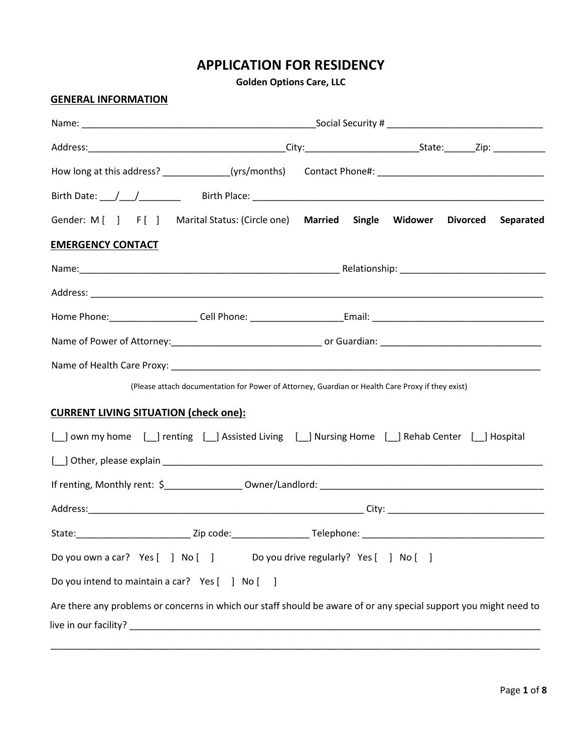# **APPLICATION FOR RESIDENCY**

**Golden Options Care, LLC**

### **GENERAL INFORMATION**

|                                                 | Gender: M [ ] F [ ] Marital Status: (Circle one) Married Single Widower Divorced                                  |  |  |  | Separated |
|-------------------------------------------------|-------------------------------------------------------------------------------------------------------------------|--|--|--|-----------|
| <b>EMERGENCY CONTACT</b>                        |                                                                                                                   |  |  |  |           |
|                                                 |                                                                                                                   |  |  |  |           |
|                                                 |                                                                                                                   |  |  |  |           |
|                                                 |                                                                                                                   |  |  |  |           |
|                                                 |                                                                                                                   |  |  |  |           |
|                                                 |                                                                                                                   |  |  |  |           |
|                                                 | (Please attach documentation for Power of Attorney, Guardian or Health Care Proxy if they exist)                  |  |  |  |           |
| <b>CURRENT LIVING SITUATION (check one):</b>    |                                                                                                                   |  |  |  |           |
|                                                 | [ ] own my home [ ] renting [ ] Assisted Living [ ] Nursing Home [ ] Rehab Center [ ] Hospital                    |  |  |  |           |
|                                                 |                                                                                                                   |  |  |  |           |
|                                                 |                                                                                                                   |  |  |  |           |
|                                                 |                                                                                                                   |  |  |  |           |
|                                                 |                                                                                                                   |  |  |  |           |
|                                                 | Do you own a car? Yes [ ] No [ ] Do you drive regularly? Yes [ ] No [ ]                                           |  |  |  |           |
| Do you intend to maintain a car? Yes [ ] No [ ] |                                                                                                                   |  |  |  |           |
|                                                 | Are there any problems or concerns in which our staff should be aware of or any special support you might need to |  |  |  |           |
|                                                 |                                                                                                                   |  |  |  |           |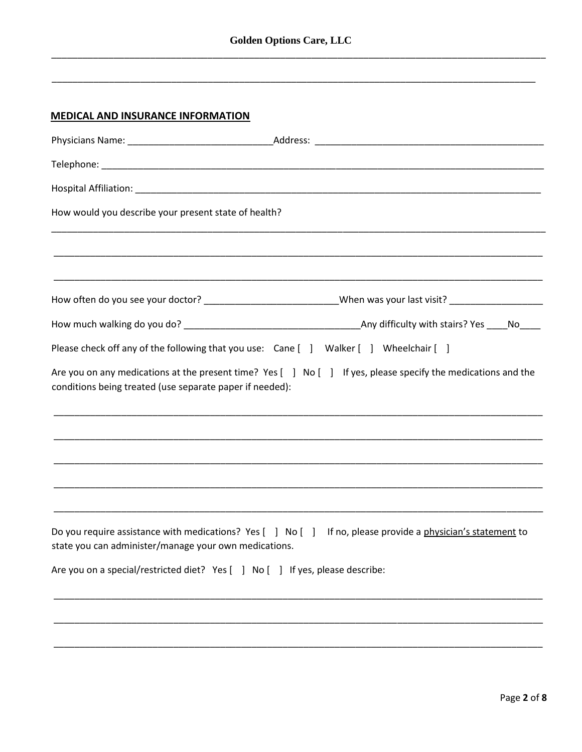### **MEDICAL AND INSURANCE INFORMATION**

| How would you describe your present state of health?                                                                |                                                                                                                 |
|---------------------------------------------------------------------------------------------------------------------|-----------------------------------------------------------------------------------------------------------------|
|                                                                                                                     |                                                                                                                 |
|                                                                                                                     | How often do you see your doctor? ________________________________When was your last visit? ___________________ |
|                                                                                                                     |                                                                                                                 |
| Please check off any of the following that you use: Cane [ ] Walker [ ] Wheelchair [ ]                              |                                                                                                                 |
| conditions being treated (use separate paper if needed):                                                            | Are you on any medications at the present time? Yes [ ] No [ ] If yes, please specify the medications and the   |
|                                                                                                                     |                                                                                                                 |
|                                                                                                                     |                                                                                                                 |
|                                                                                                                     |                                                                                                                 |
| Do you require assistance with medications? Yes [ ] No [ ]<br>state you can administer/manage your own medications. | If no, please provide a physician's statement to                                                                |
| Are you on a special/restricted diet? Yes [ ] No [ ] If yes, please describe:                                       |                                                                                                                 |
|                                                                                                                     |                                                                                                                 |
|                                                                                                                     |                                                                                                                 |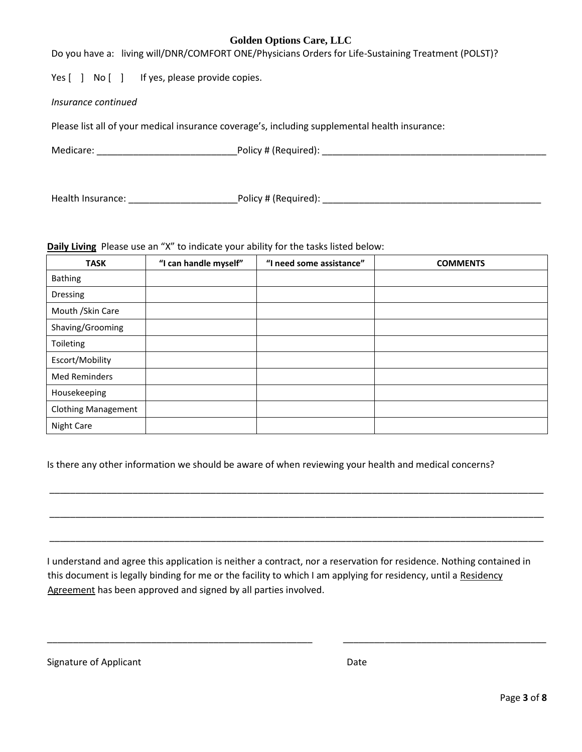Do you have a: living will/DNR/COMFORT ONE/Physicians Orders for Life-Sustaining Treatment (POLST)?

Yes [ ] No [ ] If yes, please provide copies.

#### *Insurance continued*

Please list all of your medical insurance coverage's, including supplemental health insurance:

Medicare: \_\_\_\_\_\_\_\_\_\_\_\_\_\_\_\_\_\_\_\_\_\_\_\_\_\_\_Policy # (Required): \_\_\_\_\_\_\_\_\_\_\_\_\_\_\_\_\_\_\_\_\_\_\_\_\_\_\_\_\_\_\_\_\_\_\_\_\_\_\_\_\_\_\_

Health Insurance: \_\_\_\_\_\_\_\_\_\_\_\_\_\_\_\_\_\_\_\_\_Policy # (Required): \_\_\_\_\_\_\_\_\_\_\_\_\_\_\_\_\_\_\_\_\_\_\_\_\_\_\_\_\_\_\_\_\_\_\_\_\_\_\_\_\_\_

#### **Daily Living** Please use an "X" to indicate your ability for the tasks listed below:

| <b>TASK</b>                | "I can handle myself" | "I need some assistance" | <b>COMMENTS</b> |
|----------------------------|-----------------------|--------------------------|-----------------|
| <b>Bathing</b>             |                       |                          |                 |
| Dressing                   |                       |                          |                 |
| Mouth / Skin Care          |                       |                          |                 |
| Shaving/Grooming           |                       |                          |                 |
| Toileting                  |                       |                          |                 |
| Escort/Mobility            |                       |                          |                 |
| <b>Med Reminders</b>       |                       |                          |                 |
| Housekeeping               |                       |                          |                 |
| <b>Clothing Management</b> |                       |                          |                 |
| <b>Night Care</b>          |                       |                          |                 |

Is there any other information we should be aware of when reviewing your health and medical concerns?

I understand and agree this application is neither a contract, nor a reservation for residence. Nothing contained in this document is legally binding for me or the facility to which I am applying for residency, until a Residency Agreement has been approved and signed by all parties involved.

\_\_\_\_\_\_\_\_\_\_\_\_\_\_\_\_\_\_\_\_\_\_\_\_\_\_\_\_\_\_\_\_\_\_\_\_\_\_\_\_\_\_\_\_\_\_\_\_\_\_\_ \_\_\_\_\_\_\_\_\_\_\_\_\_\_\_\_\_\_\_\_\_\_\_\_\_\_\_\_\_\_\_\_\_\_\_\_\_\_\_

\_\_\_\_\_\_\_\_\_\_\_\_\_\_\_\_\_\_\_\_\_\_\_\_\_\_\_\_\_\_\_\_\_\_\_\_\_\_\_\_\_\_\_\_\_\_\_\_\_\_\_\_\_\_\_\_\_\_\_\_\_\_\_\_\_\_\_\_\_\_\_\_\_\_\_\_\_\_\_\_\_\_\_\_\_\_\_\_\_\_\_\_\_\_\_

\_\_\_\_\_\_\_\_\_\_\_\_\_\_\_\_\_\_\_\_\_\_\_\_\_\_\_\_\_\_\_\_\_\_\_\_\_\_\_\_\_\_\_\_\_\_\_\_\_\_\_\_\_\_\_\_\_\_\_\_\_\_\_\_\_\_\_\_\_\_\_\_\_\_\_\_\_\_\_\_\_\_\_\_\_\_\_\_\_\_\_\_\_\_\_

\_\_\_\_\_\_\_\_\_\_\_\_\_\_\_\_\_\_\_\_\_\_\_\_\_\_\_\_\_\_\_\_\_\_\_\_\_\_\_\_\_\_\_\_\_\_\_\_\_\_\_\_\_\_\_\_\_\_\_\_\_\_\_\_\_\_\_\_\_\_\_\_\_\_\_\_\_\_\_\_\_\_\_\_\_\_\_\_\_\_\_\_\_\_\_

| Signature of Applicant | Date |
|------------------------|------|
|------------------------|------|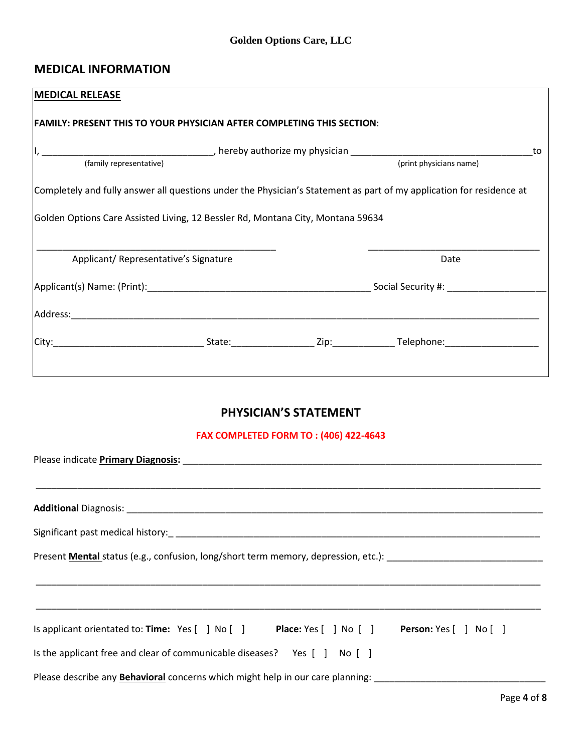## **MEDICAL INFORMATION**

| <b>MEDICAL RELEASE</b>  |                                                                                 |                                                                                                                      |    |
|-------------------------|---------------------------------------------------------------------------------|----------------------------------------------------------------------------------------------------------------------|----|
|                         | FAMILY: PRESENT THIS TO YOUR PHYSICIAN AFTER COMPLETING THIS SECTION:           |                                                                                                                      |    |
|                         |                                                                                 |                                                                                                                      | to |
| (family representative) |                                                                                 | (print physicians name)                                                                                              |    |
|                         |                                                                                 | Completely and fully answer all questions under the Physician's Statement as part of my application for residence at |    |
|                         | Golden Options Care Assisted Living, 12 Bessler Rd, Montana City, Montana 59634 |                                                                                                                      |    |
|                         | Applicant/Representative's Signature                                            | Date                                                                                                                 |    |
|                         |                                                                                 |                                                                                                                      |    |
|                         |                                                                                 |                                                                                                                      |    |
|                         |                                                                                 |                                                                                                                      |    |
|                         |                                                                                 |                                                                                                                      |    |

# **PHYSICIAN'S STATEMENT**

### **FAX COMPLETED FORM TO : (406) 422-4643**

| Please indicate <b>Primary Diagnosis:</b> Note that the same of the same of the same of the same of the same of the same of the same of the same of the same of the same of the same of the same of the same of the same of the sam |
|-------------------------------------------------------------------------------------------------------------------------------------------------------------------------------------------------------------------------------------|
|                                                                                                                                                                                                                                     |
|                                                                                                                                                                                                                                     |
| Present <b>Mental</b> status (e.g., confusion, long/short term memory, depression, etc.):                                                                                                                                           |
|                                                                                                                                                                                                                                     |
|                                                                                                                                                                                                                                     |
| Is applicant orientated to: Time: Yes [ ] No [ ] Place: Yes [ ] No [ ] Person: Yes [ ] No [ ]                                                                                                                                       |
| Is the applicant free and clear of communicable diseases? Yes [ ] No [ ]                                                                                                                                                            |
| Please describe any <b>Behavioral</b> concerns which might help in our care planning:                                                                                                                                               |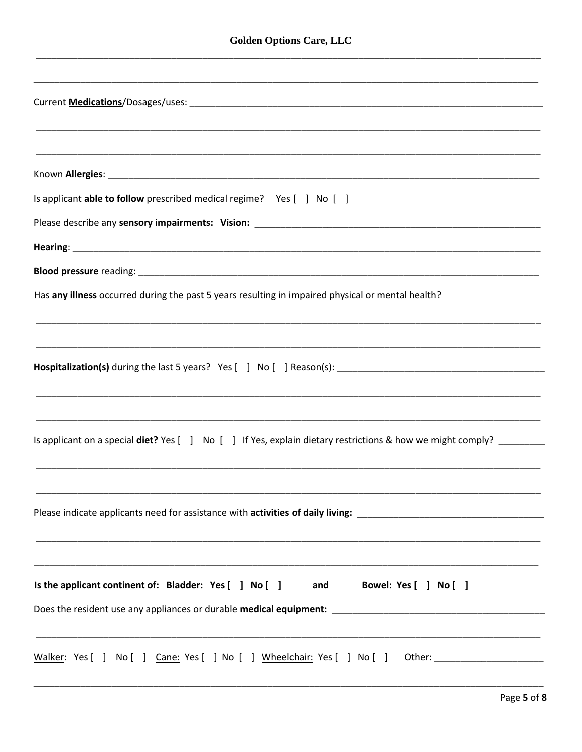| Is applicant <b>able to follow</b> prescribed medical regime? Yes [ ] No [ ]                                         |
|----------------------------------------------------------------------------------------------------------------------|
|                                                                                                                      |
|                                                                                                                      |
|                                                                                                                      |
| Has any illness occurred during the past 5 years resulting in impaired physical or mental health?                    |
|                                                                                                                      |
|                                                                                                                      |
|                                                                                                                      |
| <u> 1989 - Johann John Harry Harry Harry Harry Harry Harry Harry Harry Harry Harry Harry Harry Harry Harry Harry</u> |
|                                                                                                                      |
| Is applicant on a special diet? Yes [ ] No [ ] If Yes, explain dietary restrictions & how we might comply?           |
|                                                                                                                      |
|                                                                                                                      |
|                                                                                                                      |
|                                                                                                                      |
|                                                                                                                      |
| Is the applicant continent of: Bladder: Yes [ ] No [ ] and<br><u>Bowel</u> : Yes [ ] No [ ]                          |
|                                                                                                                      |
|                                                                                                                      |
| Walker: Yes [ ] No [ ] Cane: Yes [ ] No [ ] Wheelchair: Yes [ ] No [ ] Other: ______________________                 |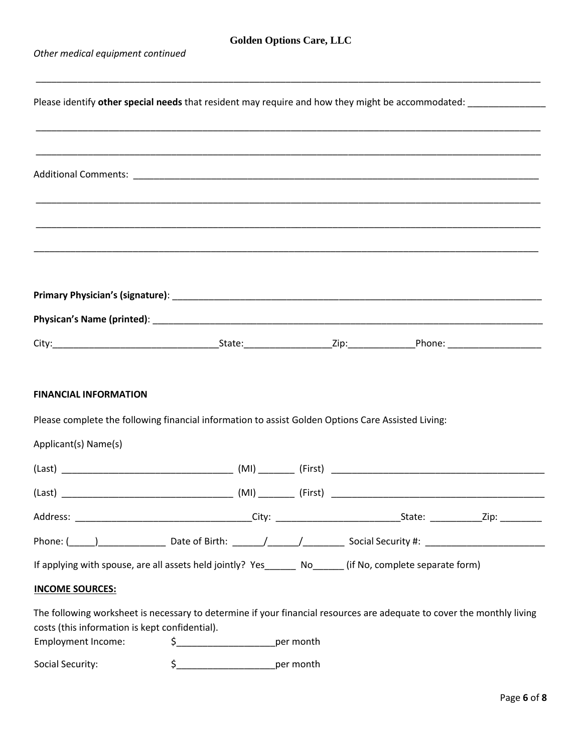*Other medical equipment continued* 

| Please identify other special needs that resident may require and how they might be accommodated: __________________                                                     |                                          |  |  |  |
|--------------------------------------------------------------------------------------------------------------------------------------------------------------------------|------------------------------------------|--|--|--|
|                                                                                                                                                                          |                                          |  |  |  |
|                                                                                                                                                                          |                                          |  |  |  |
|                                                                                                                                                                          |                                          |  |  |  |
|                                                                                                                                                                          |                                          |  |  |  |
|                                                                                                                                                                          |                                          |  |  |  |
|                                                                                                                                                                          |                                          |  |  |  |
|                                                                                                                                                                          |                                          |  |  |  |
|                                                                                                                                                                          |                                          |  |  |  |
|                                                                                                                                                                          |                                          |  |  |  |
|                                                                                                                                                                          |                                          |  |  |  |
| <b>FINANCIAL INFORMATION</b>                                                                                                                                             |                                          |  |  |  |
| Please complete the following financial information to assist Golden Options Care Assisted Living:                                                                       |                                          |  |  |  |
| Applicant(s) Name(s)                                                                                                                                                     |                                          |  |  |  |
|                                                                                                                                                                          |                                          |  |  |  |
|                                                                                                                                                                          |                                          |  |  |  |
|                                                                                                                                                                          |                                          |  |  |  |
|                                                                                                                                                                          |                                          |  |  |  |
| If applying with spouse, are all assets held jointly? Yes ________ No_______ (if No, complete separate form)                                                             |                                          |  |  |  |
| <b>INCOME SOURCES:</b>                                                                                                                                                   |                                          |  |  |  |
| The following worksheet is necessary to determine if your financial resources are adequate to cover the monthly living<br>costs (this information is kept confidential). |                                          |  |  |  |
| <b>Employment Income:</b>                                                                                                                                                | \$__________________________per month    |  |  |  |
| Social Security:                                                                                                                                                         | $$$ ___________________________per month |  |  |  |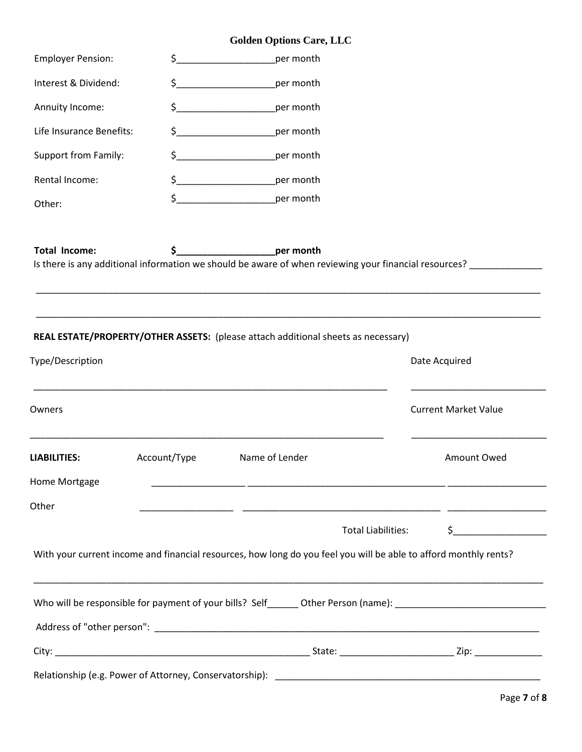| <b>Employer Pension:</b> | \$.                                                                                                                                                                                                                                                                                                                                                 | per month                                                                                                                      |                                                                                                                                                                                                                                                                                                                                                     |
|--------------------------|-----------------------------------------------------------------------------------------------------------------------------------------------------------------------------------------------------------------------------------------------------------------------------------------------------------------------------------------------------|--------------------------------------------------------------------------------------------------------------------------------|-----------------------------------------------------------------------------------------------------------------------------------------------------------------------------------------------------------------------------------------------------------------------------------------------------------------------------------------------------|
| Interest & Dividend:     |                                                                                                                                                                                                                                                                                                                                                     | per month                                                                                                                      |                                                                                                                                                                                                                                                                                                                                                     |
| Annuity Income:          | $\frac{1}{2}$                                                                                                                                                                                                                                                                                                                                       | per month                                                                                                                      |                                                                                                                                                                                                                                                                                                                                                     |
| Life Insurance Benefits: | $\sharp$                                                                                                                                                                                                                                                                                                                                            | per month                                                                                                                      |                                                                                                                                                                                                                                                                                                                                                     |
| Support from Family:     | $\begin{picture}(20,10) \put(0,0){\line(1,0){10}} \put(15,0){\line(1,0){10}} \put(15,0){\line(1,0){10}} \put(15,0){\line(1,0){10}} \put(15,0){\line(1,0){10}} \put(15,0){\line(1,0){10}} \put(15,0){\line(1,0){10}} \put(15,0){\line(1,0){10}} \put(15,0){\line(1,0){10}} \put(15,0){\line(1,0){10}} \put(15,0){\line(1,0){10}} \put(15,0){\line(1$ | per month                                                                                                                      |                                                                                                                                                                                                                                                                                                                                                     |
| Rental Income:           |                                                                                                                                                                                                                                                                                                                                                     | \$____________________________per month                                                                                        |                                                                                                                                                                                                                                                                                                                                                     |
| Other:                   | $\frac{1}{2}$                                                                                                                                                                                                                                                                                                                                       | per month                                                                                                                      |                                                                                                                                                                                                                                                                                                                                                     |
| <b>Total Income:</b>     | \$_                                                                                                                                                                                                                                                                                                                                                 | per month<br>Is there is any additional information we should be aware of when reviewing your financial resources? ___________ |                                                                                                                                                                                                                                                                                                                                                     |
| Type/Description         |                                                                                                                                                                                                                                                                                                                                                     | REAL ESTATE/PROPERTY/OTHER ASSETS: (please attach additional sheets as necessary)                                              | Date Acquired                                                                                                                                                                                                                                                                                                                                       |
| Owners                   |                                                                                                                                                                                                                                                                                                                                                     |                                                                                                                                | <b>Current Market Value</b>                                                                                                                                                                                                                                                                                                                         |
| <b>LIABILITIES:</b>      | Account/Type                                                                                                                                                                                                                                                                                                                                        | Name of Lender                                                                                                                 | Amount Owed                                                                                                                                                                                                                                                                                                                                         |
| Home Mortgage            |                                                                                                                                                                                                                                                                                                                                                     | <u> 1989 - Johann Harry Harry Harry Harry Harry Harry Harry Harry Harry Harry Harry Harry Harry Harry Harry Harry</u>          |                                                                                                                                                                                                                                                                                                                                                     |
| Other                    |                                                                                                                                                                                                                                                                                                                                                     |                                                                                                                                |                                                                                                                                                                                                                                                                                                                                                     |
|                          |                                                                                                                                                                                                                                                                                                                                                     | Total Liabilities:                                                                                                             | $\begin{picture}(20,10) \put(0,0){\line(1,0){10}} \put(15,0){\line(1,0){10}} \put(15,0){\line(1,0){10}} \put(15,0){\line(1,0){10}} \put(15,0){\line(1,0){10}} \put(15,0){\line(1,0){10}} \put(15,0){\line(1,0){10}} \put(15,0){\line(1,0){10}} \put(15,0){\line(1,0){10}} \put(15,0){\line(1,0){10}} \put(15,0){\line(1,0){10}} \put(15,0){\line(1$ |
|                          |                                                                                                                                                                                                                                                                                                                                                     | With your current income and financial resources, how long do you feel you will be able to afford monthly rents?               |                                                                                                                                                                                                                                                                                                                                                     |
|                          |                                                                                                                                                                                                                                                                                                                                                     | ,我们也不能会在这里,我们的人们就会不能会在这里,我们也不能会不能会不能会不能会不能会不能会不能会。""我们的人们也不能会不能会不能会不能会不能会不能会不能会不                                               |                                                                                                                                                                                                                                                                                                                                                     |
|                          |                                                                                                                                                                                                                                                                                                                                                     |                                                                                                                                |                                                                                                                                                                                                                                                                                                                                                     |
|                          |                                                                                                                                                                                                                                                                                                                                                     |                                                                                                                                |                                                                                                                                                                                                                                                                                                                                                     |
|                          |                                                                                                                                                                                                                                                                                                                                                     |                                                                                                                                |                                                                                                                                                                                                                                                                                                                                                     |